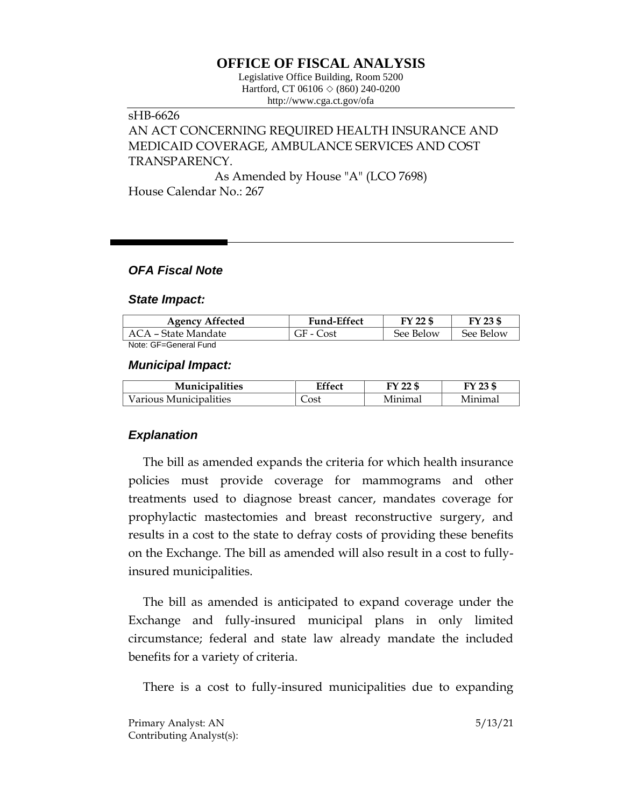# **OFFICE OF FISCAL ANALYSIS**

Legislative Office Building, Room 5200 Hartford, CT 06106 ◇ (860) 240-0200 http://www.cga.ct.gov/ofa

## sHB-6626 AN ACT CONCERNING REQUIRED HEALTH INSURANCE AND MEDICAID COVERAGE, AMBULANCE SERVICES AND COST TRANSPARENCY.

As Amended by House "A" (LCO 7698) House Calendar No.: 267

### *OFA Fiscal Note*

#### *State Impact:*

| <b>Agency Affected</b> | <b>Fund-Effect</b> | FY 22 \$  | FY 23 \$  |
|------------------------|--------------------|-----------|-----------|
| ACA – State Mandate    | GF - Cost          | See Below | See Below |
| Note: GE=General Fund  |                    |           |           |

#### *Municipal Impact:*

| <b>Municipalities</b>  | Effect | FY 22 \$            |         |
|------------------------|--------|---------------------|---------|
| Various Municipalities | _ost   | <sup>1</sup> Inimal | Minimal |

## *Explanation*

The bill as amended expands the criteria for which health insurance policies must provide coverage for mammograms and other treatments used to diagnose breast cancer, mandates coverage for prophylactic mastectomies and breast reconstructive surgery, and results in a cost to the state to defray costs of providing these benefits on the Exchange. The bill as amended will also result in a cost to fullyinsured municipalities.

The bill as amended is anticipated to expand coverage under the Exchange and fully-insured municipal plans in only limited circumstance; federal and state law already mandate the included benefits for a variety of criteria.

There is a cost to fully-insured municipalities due to expanding